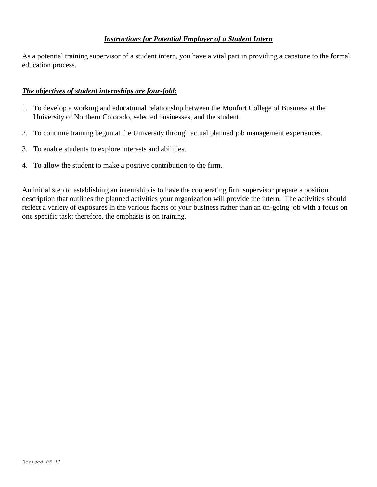## *Instructions for Potential Employer of a Student Intern*

As a potential training supervisor of a student intern, you have a vital part in providing a capstone to the formal education process.

## *The objectives of student internships are four-fold:*

- 1. To develop a working and educational relationship between the Monfort College of Business at the University of Northern Colorado, selected businesses, and the student.
- 2. To continue training begun at the University through actual planned job management experiences.
- 3. To enable students to explore interests and abilities.
- 4. To allow the student to make a positive contribution to the firm.

An initial step to establishing an internship is to have the cooperating firm supervisor prepare a position description that outlines the planned activities your organization will provide the intern. The activities should reflect a variety of exposures in the various facets of your business rather than an on-going job with a focus on one specific task; therefore, the emphasis is on training.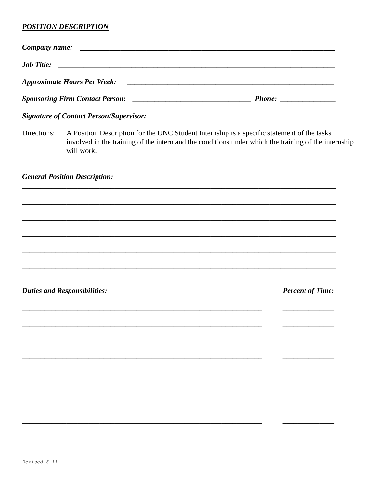## **POSITION DESCRIPTION**

| Directions: | will work.                                                 | A Position Description for the UNC Student Internship is a specific statement of the tasks<br>involved in the training of the intern and the conditions under which the training of the internship |                         |  |
|-------------|------------------------------------------------------------|----------------------------------------------------------------------------------------------------------------------------------------------------------------------------------------------------|-------------------------|--|
|             | <b>General Position Description:</b>                       |                                                                                                                                                                                                    |                         |  |
|             |                                                            |                                                                                                                                                                                                    |                         |  |
|             |                                                            |                                                                                                                                                                                                    |                         |  |
|             |                                                            |                                                                                                                                                                                                    |                         |  |
|             |                                                            |                                                                                                                                                                                                    |                         |  |
|             |                                                            |                                                                                                                                                                                                    |                         |  |
|             | <b>Duties and Responsibilities:</b>                        |                                                                                                                                                                                                    | <b>Percent of Time:</b> |  |
|             | <u> 1989 - Johann Stoff, amerikansk politiker (* 1908)</u> |                                                                                                                                                                                                    |                         |  |
|             |                                                            |                                                                                                                                                                                                    |                         |  |
|             |                                                            |                                                                                                                                                                                                    |                         |  |
|             |                                                            |                                                                                                                                                                                                    |                         |  |
|             |                                                            |                                                                                                                                                                                                    |                         |  |
|             |                                                            |                                                                                                                                                                                                    |                         |  |
|             |                                                            |                                                                                                                                                                                                    |                         |  |